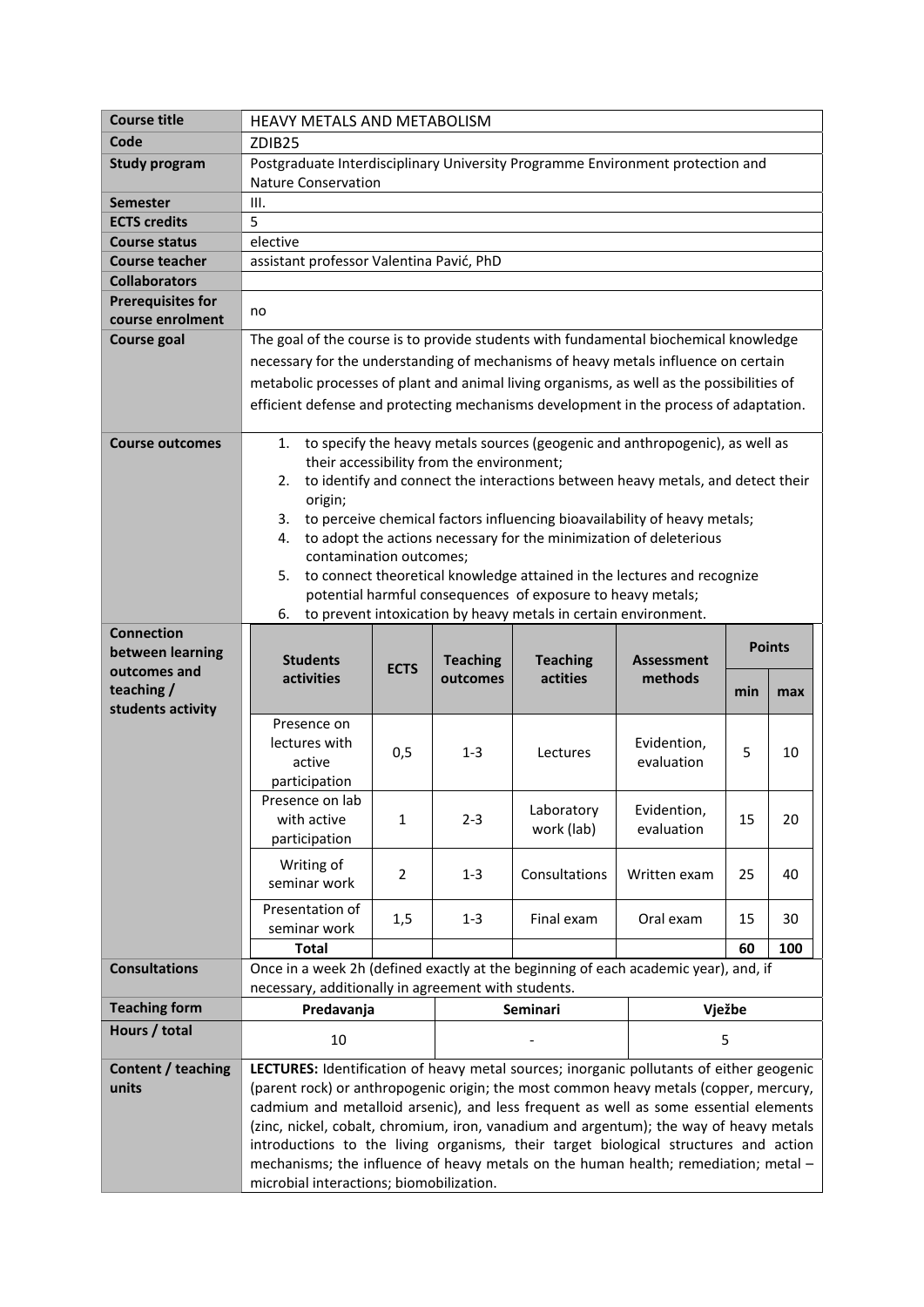| <b>Course title</b>      | <b>HEAVY METALS AND METABOLISM</b>                                                                                                         |                |                                           |                                                                 |                                                                                                                                                    |               |     |
|--------------------------|--------------------------------------------------------------------------------------------------------------------------------------------|----------------|-------------------------------------------|-----------------------------------------------------------------|----------------------------------------------------------------------------------------------------------------------------------------------------|---------------|-----|
| Code                     | ZDIB <sub>25</sub>                                                                                                                         |                |                                           |                                                                 |                                                                                                                                                    |               |     |
| <b>Study program</b>     | Postgraduate Interdisciplinary University Programme Environment protection and                                                             |                |                                           |                                                                 |                                                                                                                                                    |               |     |
|                          | <b>Nature Conservation</b>                                                                                                                 |                |                                           |                                                                 |                                                                                                                                                    |               |     |
| Semester                 | III.                                                                                                                                       |                |                                           |                                                                 |                                                                                                                                                    |               |     |
| <b>ECTS credits</b>      | 5                                                                                                                                          |                |                                           |                                                                 |                                                                                                                                                    |               |     |
| <b>Course status</b>     | elective                                                                                                                                   |                |                                           |                                                                 |                                                                                                                                                    |               |     |
| <b>Course teacher</b>    | assistant professor Valentina Pavić, PhD                                                                                                   |                |                                           |                                                                 |                                                                                                                                                    |               |     |
| <b>Collaborators</b>     |                                                                                                                                            |                |                                           |                                                                 |                                                                                                                                                    |               |     |
| <b>Prerequisites for</b> | no                                                                                                                                         |                |                                           |                                                                 |                                                                                                                                                    |               |     |
| course enrolment         |                                                                                                                                            |                |                                           |                                                                 |                                                                                                                                                    |               |     |
| Course goal              | The goal of the course is to provide students with fundamental biochemical knowledge                                                       |                |                                           |                                                                 |                                                                                                                                                    |               |     |
|                          | necessary for the understanding of mechanisms of heavy metals influence on certain                                                         |                |                                           |                                                                 |                                                                                                                                                    |               |     |
|                          | metabolic processes of plant and animal living organisms, as well as the possibilities of                                                  |                |                                           |                                                                 |                                                                                                                                                    |               |     |
|                          | efficient defense and protecting mechanisms development in the process of adaptation.                                                      |                |                                           |                                                                 |                                                                                                                                                    |               |     |
|                          |                                                                                                                                            |                |                                           |                                                                 |                                                                                                                                                    |               |     |
| <b>Course outcomes</b>   | 1.                                                                                                                                         |                |                                           |                                                                 | to specify the heavy metals sources (geogenic and anthropogenic), as well as                                                                       |               |     |
|                          |                                                                                                                                            |                | their accessibility from the environment; |                                                                 |                                                                                                                                                    |               |     |
|                          | 2.                                                                                                                                         |                |                                           |                                                                 | to identify and connect the interactions between heavy metals, and detect their                                                                    |               |     |
|                          | origin;                                                                                                                                    |                |                                           |                                                                 |                                                                                                                                                    |               |     |
|                          | 4.                                                                                                                                         |                |                                           |                                                                 | 3. to perceive chemical factors influencing bioavailability of heavy metals;<br>to adopt the actions necessary for the minimization of deleterious |               |     |
|                          | contamination outcomes;                                                                                                                    |                |                                           |                                                                 |                                                                                                                                                    |               |     |
|                          | 5.                                                                                                                                         |                |                                           |                                                                 | to connect theoretical knowledge attained in the lectures and recognize                                                                            |               |     |
|                          |                                                                                                                                            |                |                                           | potential harmful consequences of exposure to heavy metals;     |                                                                                                                                                    |               |     |
|                          | 6.                                                                                                                                         |                |                                           | to prevent intoxication by heavy metals in certain environment. |                                                                                                                                                    |               |     |
| <b>Connection</b>        |                                                                                                                                            |                |                                           |                                                                 |                                                                                                                                                    |               |     |
| between learning         | <b>Students</b>                                                                                                                            |                | <b>Teaching</b>                           | <b>Teaching</b>                                                 | <b>Assessment</b>                                                                                                                                  | <b>Points</b> |     |
|                          |                                                                                                                                            | <b>ECTS</b>    |                                           |                                                                 |                                                                                                                                                    |               |     |
| outcomes and             |                                                                                                                                            |                |                                           |                                                                 |                                                                                                                                                    |               |     |
| teaching /               | activities                                                                                                                                 |                | outcomes                                  | actities                                                        | methods                                                                                                                                            | min           | max |
| students activity        |                                                                                                                                            |                |                                           |                                                                 |                                                                                                                                                    |               |     |
|                          | Presence on                                                                                                                                |                |                                           |                                                                 |                                                                                                                                                    |               |     |
|                          | lectures with                                                                                                                              | 0,5            | 1-3                                       | Lectures                                                        | Evidention,                                                                                                                                        | 5             | 10  |
|                          | active                                                                                                                                     |                |                                           |                                                                 | evaluation                                                                                                                                         |               |     |
|                          | participation                                                                                                                              |                |                                           |                                                                 |                                                                                                                                                    |               |     |
|                          | Presence on lab<br>with active                                                                                                             | 1              | $2 - 3$                                   | Laboratory                                                      | Evidention,                                                                                                                                        | 15            | 20  |
|                          | participation                                                                                                                              |                |                                           | work (lab)                                                      | evaluation                                                                                                                                         |               |     |
|                          |                                                                                                                                            |                |                                           |                                                                 |                                                                                                                                                    |               |     |
|                          | Writing of                                                                                                                                 | $\overline{2}$ | $1 - 3$                                   | Consultations                                                   | Written exam                                                                                                                                       | 25            | 40  |
|                          | seminar work                                                                                                                               |                |                                           |                                                                 |                                                                                                                                                    |               |     |
|                          | Presentation of                                                                                                                            | 1,5            | $1 - 3$                                   | Final exam                                                      | Oral exam                                                                                                                                          | 15            | 30  |
|                          | seminar work                                                                                                                               |                |                                           |                                                                 |                                                                                                                                                    |               |     |
|                          | <b>Total</b>                                                                                                                               |                |                                           |                                                                 |                                                                                                                                                    | 60            | 100 |
| <b>Consultations</b>     | Once in a week 2h (defined exactly at the beginning of each academic year), and, if<br>necessary, additionally in agreement with students. |                |                                           |                                                                 |                                                                                                                                                    |               |     |
| <b>Teaching form</b>     | Predavanja                                                                                                                                 |                |                                           | Seminari                                                        |                                                                                                                                                    |               |     |
| Hours / total            |                                                                                                                                            |                |                                           |                                                                 |                                                                                                                                                    | Vježbe        |     |
|                          | 10                                                                                                                                         |                |                                           |                                                                 |                                                                                                                                                    | 5             |     |
| Content / teaching       | LECTURES: Identification of heavy metal sources; inorganic pollutants of either geogenic                                                   |                |                                           |                                                                 |                                                                                                                                                    |               |     |
| units                    | (parent rock) or anthropogenic origin; the most common heavy metals (copper, mercury,                                                      |                |                                           |                                                                 |                                                                                                                                                    |               |     |
|                          | cadmium and metalloid arsenic), and less frequent as well as some essential elements                                                       |                |                                           |                                                                 |                                                                                                                                                    |               |     |
|                          | (zinc, nickel, cobalt, chromium, iron, vanadium and argentum); the way of heavy metals                                                     |                |                                           |                                                                 |                                                                                                                                                    |               |     |
|                          | introductions to the living organisms, their target biological structures and action                                                       |                |                                           |                                                                 |                                                                                                                                                    |               |     |
|                          | mechanisms; the influence of heavy metals on the human health; remediation; metal -<br>microbial interactions; biomobilization.            |                |                                           |                                                                 |                                                                                                                                                    |               |     |